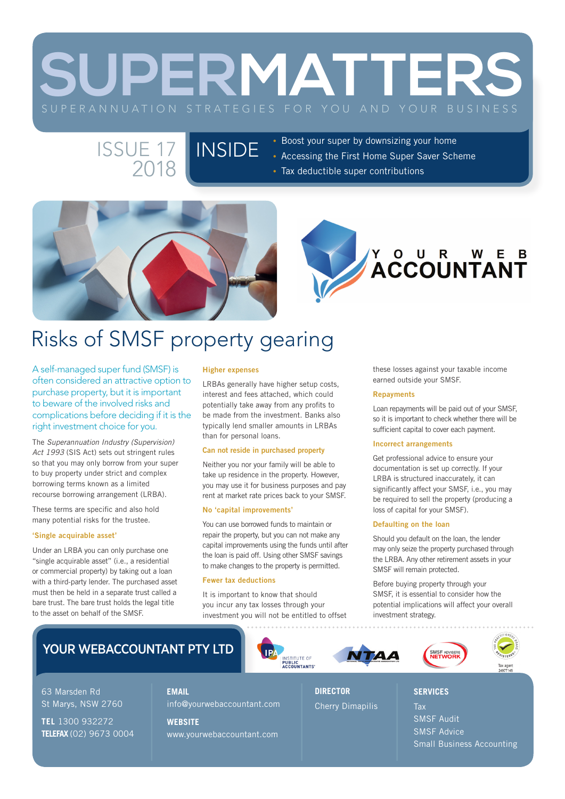# **SUPERMATTERS**

#### INSIDE ISSUE 17 2018

- Boost your super by downsizing your home
- Accessing the First Home Super Saver Scheme
- Tax deductible super contributions





## Risks of SMSF property gearing

A self-managed super fund (SMSF) is often considered an attractive option to purchase property, but it is important to beware of the involved risks and complications before deciding if it is the right investment choice for you.

The *Superannuation Industry (Supervision) Act 1993* (SIS Act) sets out stringent rules so that you may only borrow from your super to buy property under strict and complex borrowing terms known as a limited recourse borrowing arrangement (LRBA).

These terms are specific and also hold many potential risks for the trustee.

#### 'Single acquirable asset'

Under an LRBA you can only purchase one "single acquirable asset" (i.e., a residential or commercial property) by taking out a loan with a third-party lender. The purchased asset must then be held in a separate trust called a bare trust. The bare trust holds the legal title to the asset on behalf of the SMSF.

#### Higher expenses

LRBAs generally have higher setup costs, interest and fees attached, which could potentially take away from any profits to be made from the investment. Banks also typically lend smaller amounts in LRBAs than for personal loans.

#### Can not reside in purchased property

Neither you nor your family will be able to take up residence in the property. However, you may use it for business purposes and pay rent at market rate prices back to your SMSF.

#### No 'capital improvements'

You can use borrowed funds to maintain or repair the property, but you can not make any capital improvements using the funds until after the loan is paid off. Using other SMSF savings to make changes to the property is permitted.

#### Fewer tax deductions

It is important to know that should you incur any tax losses through your investment you will not be entitled to offset

INSTITUTE OF<br>**PUBLIC**<br>ACCOUNTANTS

these losses against your taxable income earned outside your SMSF.

#### **Repayments**

Loan repayments will be paid out of your SMSF, so it is important to check whether there will be sufficient capital to cover each payment.

#### Incorrect arrangements

Get professional advice to ensure your documentation is set up correctly. If your LRBA is structured inaccurately, it can significantly affect your SMSF, i.e., you may be required to sell the property (producing a loss of capital for your SMSF).

#### Defaulting on the loan

Should you default on the loan, the lender may only seize the property purchased through the LRBA. Any other retirement assets in your SMSF will remain protected.

Before buying property through your SMSF, it is essential to consider how the potential implications will affect your overall investment strategy.

### YOUR WEBACCOUNTANT PTY LTD

63 Marsden Rd St Marys, NSW 2760

**TEL** 1300 932272 **TELEFAX** (02) 9673 0004 **EMAIL** info@yourwebaccountant.com **WEBSITE** www.yourwebaccountant.com

**DIRECTOR** Cherry Dimapilis





Tax SMSF Audit SMSF Advice Small Business Accounting